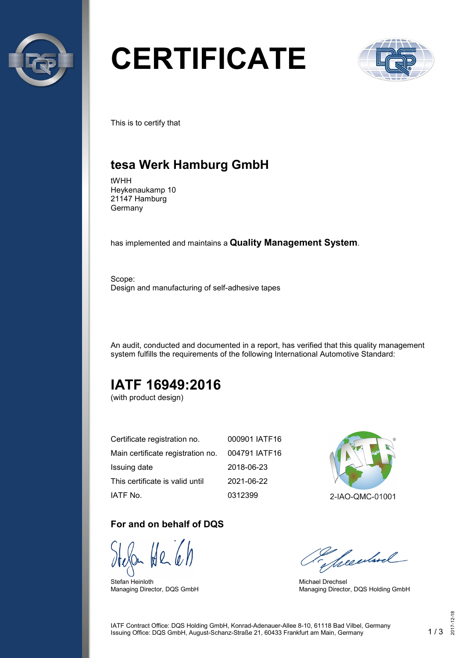

# **CERTIFICATE**



This is to certify that

## **tesa Werk Hamburg GmbH**

tWHH Heykenaukamp 10 21147 Hamburg Germany

has implemented and maintains a **Quality Management System**.

Scope: Design and manufacturing of self-adhesive tapes

An audit, conducted and documented in a report, has verified that this quality management system fulfills the requirements of the following International Automotive Standard:

## **IATF 16949:2016**

(with product design)

| Certificate registration no.      | 000901 IATF16 |
|-----------------------------------|---------------|
| Main certificate registration no. | 004791 IATF16 |
| Issuing date                      | 2018-06-23    |
| This certificate is valid until   | 2021-06-22    |
| IATF No.                          | 0312399       |

#### **For and on behalf of DQS**

Stefan Heinloth Managing Director, DQS GmbH



2-IAO-QMC-01001

Seculard

Michael Drechsel Managing Director, DQS Holding GmbH

IATF Contract Office: DQS Holding GmbH, Konrad-Adenauer-Allee 8-10, 61118 Bad Vilbel, Germany Issuing Office: DQS GmbH, August-Schanz-Straße 21, 60433 Frankfurt am Main, Germany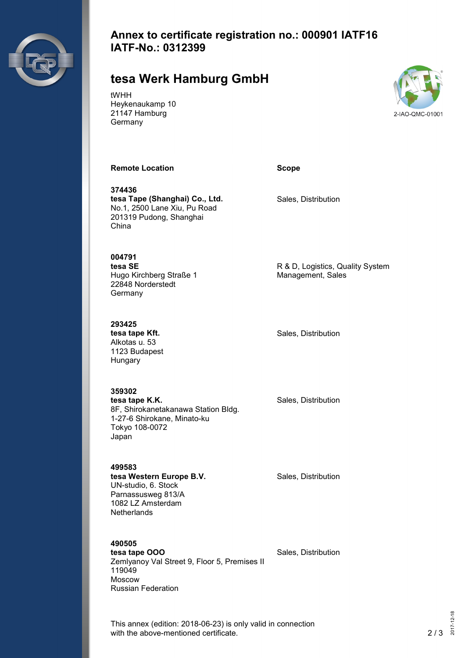

#### **Annex to certificate registration no.: 000901 IATF16 IATF-No.: 0312399**

## **tesa Werk Hamburg GmbH**

tWHH Heykenaukamp 10 21147 Hamburg Germany



#### **Remote Location CONSIDERENT CONSIDERED SCOPE**

**374436 tesa Tape (Shanghai) Co., Ltd.** No.1, 2500 Lane Xiu, Pu Road 201319 Pudong, Shanghai China

**004791 tesa SE** Hugo Kirchberg Straße 1 22848 Norderstedt Germany

**293425 tesa tape Kft.** Alkotas u. 53 1123 Budapest Hungary

**359302 tesa tape K.K.** 8F, Shirokanetakanawa Station Bldg. 1-27-6 Shirokane, Minato-ku Tokyo 108-0072 Japan

Sales, Distribution

R & D, Logistics, Quality System Management, Sales

Sales, Distribution

Sales, Distribution

**499583 tesa Western Europe B.V.** UN-studio, 6. Stock Parnassusweg 813/A 1082 LZ Amsterdam **Netherlands** 

Sales, Distribution

**490505 tesa tape OOO** Zemlyanoy Val Street 9, Floor 5, Premises II 119049

Moscow

Russian Federation

Sales, Distribution

This annex (edition: 2018-06-23) is only valid in connection with the above-mentioned certificate. 2/3